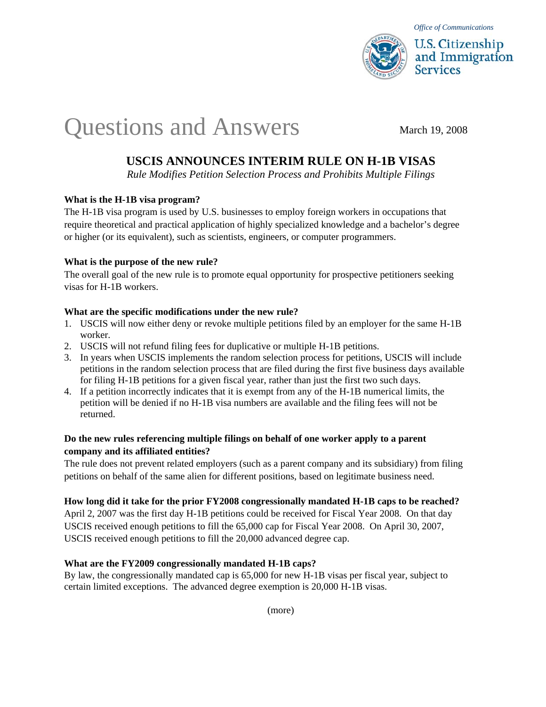

# Questions and Answers March 19, 2008

# **USCIS ANNOUNCES INTERIM RULE ON H-1B VISAS**

*Rule Modifies Petition Selection Process and Prohibits Multiple Filings* 

## **What is the H-1B visa program?**

The H-1B visa program is used by U.S. businesses to employ foreign workers in occupations that require theoretical and practical application of highly specialized knowledge and a bachelor's degree or higher (or its equivalent), such as scientists, engineers, or computer programmers.

## **What is the purpose of the new rule?**

The overall goal of the new rule is to promote equal opportunity for prospective petitioners seeking visas for H-1B workers.

## **What are the specific modifications under the new rule?**

- 1. USCIS will now either deny or revoke multiple petitions filed by an employer for the same H-1B worker.
- 2. USCIS will not refund filing fees for duplicative or multiple H-1B petitions.
- 3. In years when USCIS implements the random selection process for petitions, USCIS will include petitions in the random selection process that are filed during the first five business days available for filing H-1B petitions for a given fiscal year, rather than just the first two such days.
- 4. If a petition incorrectly indicates that it is exempt from any of the H-1B numerical limits, the petition will be denied if no H-1B visa numbers are available and the filing fees will not be returned.

# **Do the new rules referencing multiple filings on behalf of one worker apply to a parent company and its affiliated entities?**

The rule does not prevent related employers (such as a parent company and its subsidiary) from filing petitions on behalf of the same alien for different positions, based on legitimate business need.

# **How long did it take for the prior FY2008 congressionally mandated H-1B caps to be reached?**

April 2, 2007 was the first day H-1B petitions could be received for Fiscal Year 2008. On that day USCIS received enough petitions to fill the 65,000 cap for Fiscal Year 2008. On April 30, 2007, USCIS received enough petitions to fill the 20,000 advanced degree cap.

#### **What are the FY2009 congressionally mandated H-1B caps?**

By law, the congressionally mandated cap is 65,000 for new H-1B visas per fiscal year, subject to certain limited exceptions. The advanced degree exemption is 20,000 H-1B visas.

(more)